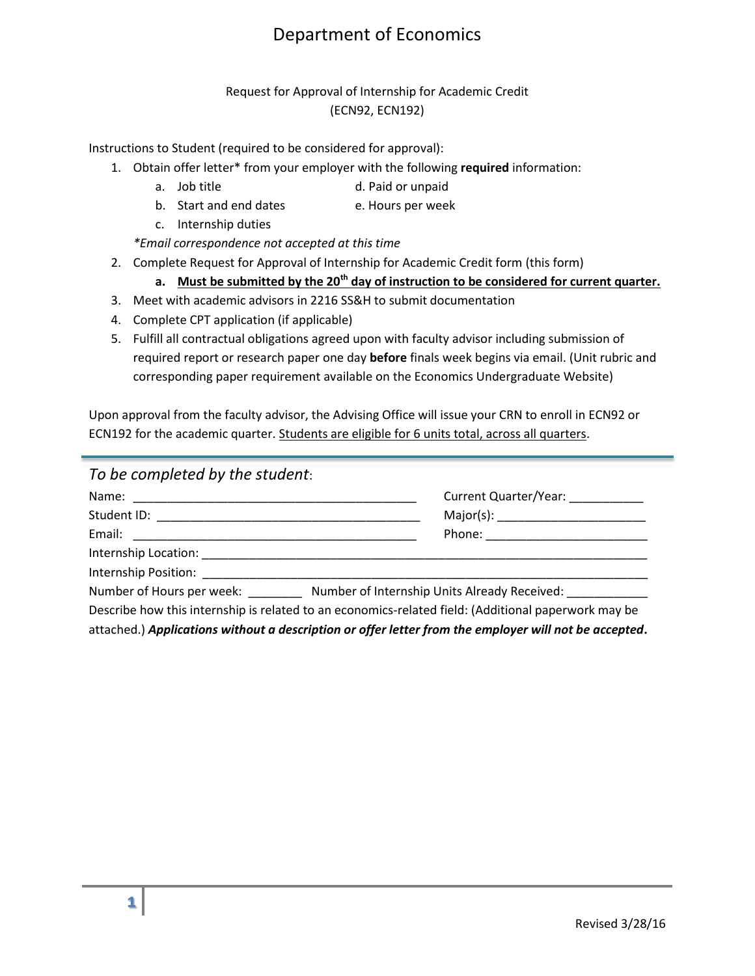## Department of Economics

## Request for Approval of Internship for Academic Credit (ECN92, ECN192)

Instructions to Student (required to be considered for approval):

- 1. Obtain offer letter\* from your employer with the following **required** information:
	- a. Job title and the d. Paid or unpaid
	- b. Start and end dates e. Hours per week
	- c. Internship duties

*\*Email correspondence not accepted at this time*

- 2. Complete Request for Approval of Internship for Academic Credit form (this form)
	- **a. Must be submitted by the 20th day of instruction to be considered for current quarter.**
- 3. Meet with academic advisors in 2216 SS&H to submit documentation
- 4. Complete CPT application (if applicable)
- 5. Fulfill all contractual obligations agreed upon with faculty advisor including submission of required report or research paper one day **before** finals week begins via email. (Unit rubric and corresponding paper requirement available on the Economics Undergraduate Website)

Upon approval from the faculty advisor, the Advising Office will issue your CRN to enroll in ECN92 or ECN192 for the academic quarter. Students are eligible for 6 units total, across all quarters.

| To be completed by the student: |                                                                                                       |  |
|---------------------------------|-------------------------------------------------------------------------------------------------------|--|
|                                 | Current Quarter/Year: __________                                                                      |  |
|                                 |                                                                                                       |  |
|                                 |                                                                                                       |  |
|                                 |                                                                                                       |  |
|                                 |                                                                                                       |  |
|                                 | Number of Hours per week: Number of Internship Units Already Received:                                |  |
|                                 | Describe how this internship is related to an economics-related field: (Additional paperwork may be   |  |
|                                 | attached.) Applications without a description or offer letter from the employer will not be accepted. |  |